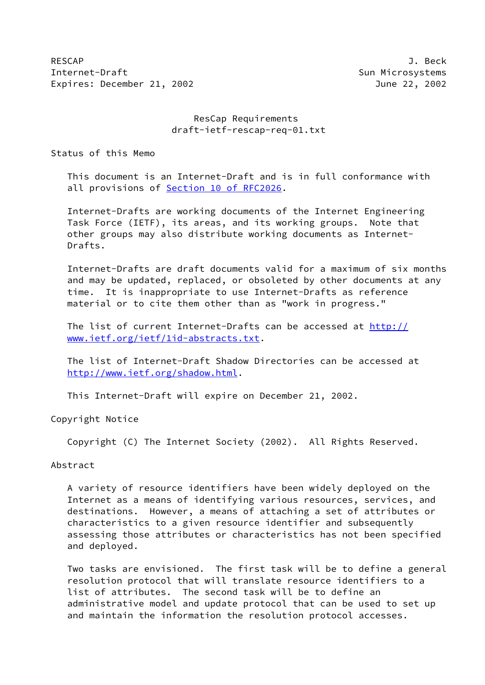RESCAP J. Beck Internet-Draft Sun Microsystems Expires: December 21, 2002 June 22, 2002

 ResCap Requirements draft-ietf-rescap-req-01.txt

Status of this Memo

 This document is an Internet-Draft and is in full conformance with all provisions of Section [10 of RFC2026.](https://datatracker.ietf.org/doc/pdf/rfc2026#section-10)

 Internet-Drafts are working documents of the Internet Engineering Task Force (IETF), its areas, and its working groups. Note that other groups may also distribute working documents as Internet- Drafts.

 Internet-Drafts are draft documents valid for a maximum of six months and may be updated, replaced, or obsoleted by other documents at any time. It is inappropriate to use Internet-Drafts as reference material or to cite them other than as "work in progress."

The list of current Internet-Drafts can be accessed at [http://](http://www.ietf.org/ietf/1id-abstracts.txt) [www.ietf.org/ietf/1id-abstracts.txt](http://www.ietf.org/ietf/1id-abstracts.txt).

 The list of Internet-Draft Shadow Directories can be accessed at <http://www.ietf.org/shadow.html>.

This Internet-Draft will expire on December 21, 2002.

Copyright Notice

Copyright (C) The Internet Society (2002). All Rights Reserved.

Abstract

 A variety of resource identifiers have been widely deployed on the Internet as a means of identifying various resources, services, and destinations. However, a means of attaching a set of attributes or characteristics to a given resource identifier and subsequently assessing those attributes or characteristics has not been specified and deployed.

 Two tasks are envisioned. The first task will be to define a general resolution protocol that will translate resource identifiers to a list of attributes. The second task will be to define an administrative model and update protocol that can be used to set up and maintain the information the resolution protocol accesses.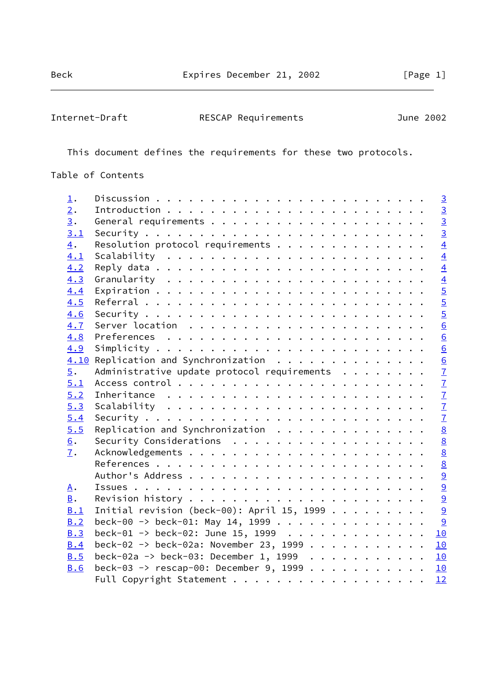Internet-Draft RESCAP Requirements June 2002

This document defines the requirements for these two protocols.

Table of Contents

| $\perp$ .        |                                              |                 |
|------------------|----------------------------------------------|-----------------|
| 2.               |                                              |                 |
| 3.               |                                              | $\overline{3}$  |
| 3.1              |                                              | $\overline{3}$  |
| $\overline{4}$ . | Resolution protocol requirements             | $\overline{4}$  |
| 4.1              |                                              | $\overline{4}$  |
| 4.2              |                                              | $\overline{4}$  |
| 4.3              |                                              |                 |
| 4.4              |                                              | $\frac{4}{5}$   |
| 4.5              |                                              | $\overline{5}$  |
| 4.6              |                                              | $\overline{5}$  |
| 4.7              |                                              | 6               |
| 4.8              |                                              | 6               |
| 4.9              |                                              | 6               |
|                  | 4.10 Replication and Synchronization         | 6               |
| 5.               | Administrative update protocol requirements  | $\overline{1}$  |
| 5.1              |                                              | $\overline{1}$  |
| 5.2              |                                              | $\overline{1}$  |
| 5.3              |                                              |                 |
| 5.4              |                                              | $\frac{7}{7}$   |
| 5.5              | Replication and Synchronization              | 8               |
| 6.               | Security Considerations                      | 8               |
| $\overline{1}$ . |                                              | $\underline{8}$ |
|                  |                                              | 8               |
|                  |                                              | $\overline{9}$  |
| A.               |                                              | $\overline{9}$  |
| <b>B</b> .       |                                              | 9               |
| B.1              | Initial revision (beck-00): April 15, 1999 9 |                 |
| B.2              | beck-00 -> beck-01: May 14, 1999             | <u>୍ର</u>       |
| <b>B.3</b>       | beck-01 -> beck-02: June 15, 1999            | 10              |
| B.4              | beck-02 -> beck-02a: November 23, 1999       | 10              |
| B.5              | beck-02a -> beck-03: December 1, 1999 10     |                 |
| <b>B.6</b>       | beck-03 -> rescap-00: December 9, 1999 10    |                 |
|                  |                                              | 12              |
|                  |                                              |                 |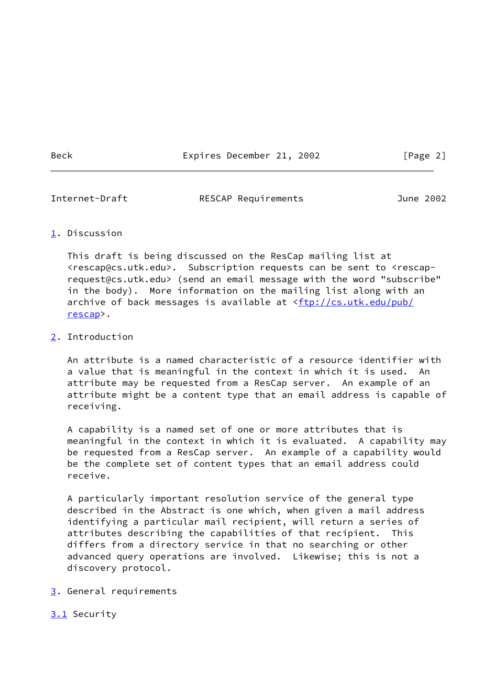Beck Expires December 21, 2002 [Page 2]

<span id="page-2-1"></span>

Internet-Draft RESCAP Requirements June 2002

# <span id="page-2-0"></span>[1](#page-2-0). Discussion

 This draft is being discussed on the ResCap mailing list at <rescap@cs.utk.edu>. Subscription requests can be sent to <rescap request@cs.utk.edu> (send an email message with the word "subscribe" in the body). More information on the mailing list along with an archive of back messages is available at [<ftp://cs.utk.edu/pub/](ftp://cs.utk.edu/pub/rescap) [rescap](ftp://cs.utk.edu/pub/rescap)>.

# <span id="page-2-2"></span>[2](#page-2-2). Introduction

 An attribute is a named characteristic of a resource identifier with a value that is meaningful in the context in which it is used. An attribute may be requested from a ResCap server. An example of an attribute might be a content type that an email address is capable of receiving.

 A capability is a named set of one or more attributes that is meaningful in the context in which it is evaluated. A capability may be requested from a ResCap server. An example of a capability would be the complete set of content types that an email address could receive.

 A particularly important resolution service of the general type described in the Abstract is one which, when given a mail address identifying a particular mail recipient, will return a series of attributes describing the capabilities of that recipient. This differs from a directory service in that no searching or other advanced query operations are involved. Likewise; this is not a discovery protocol.

- <span id="page-2-3"></span>[3](#page-2-3). General requirements
- <span id="page-2-4"></span>[3.1](#page-2-4) Security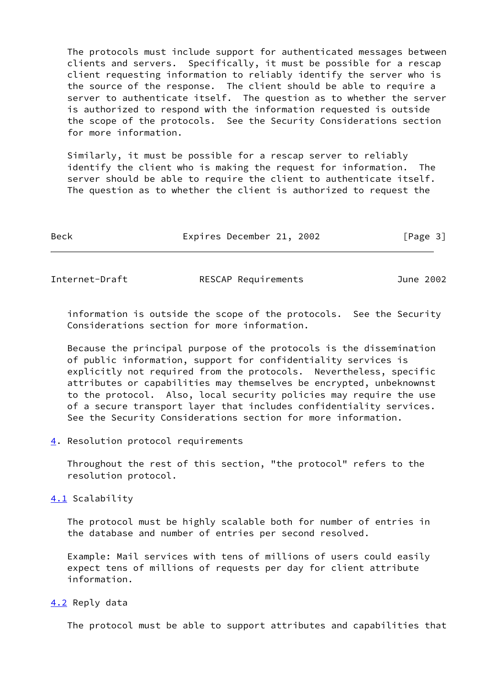The protocols must include support for authenticated messages between clients and servers. Specifically, it must be possible for a rescap client requesting information to reliably identify the server who is the source of the response. The client should be able to require a server to authenticate itself. The question as to whether the server is authorized to respond with the information requested is outside the scope of the protocols. See the Security Considerations section for more information.

 Similarly, it must be possible for a rescap server to reliably identify the client who is making the request for information. The server should be able to require the client to authenticate itself. The question as to whether the client is authorized to request the

| Beck |  | Expires December 21, 2002 |  |  | [Page 3] |
|------|--|---------------------------|--|--|----------|
|------|--|---------------------------|--|--|----------|

<span id="page-3-1"></span>Internet-Draft RESCAP Requirements June 2002

 information is outside the scope of the protocols. See the Security Considerations section for more information.

 Because the principal purpose of the protocols is the dissemination of public information, support for confidentiality services is explicitly not required from the protocols. Nevertheless, specific attributes or capabilities may themselves be encrypted, unbeknownst to the protocol. Also, local security policies may require the use of a secure transport layer that includes confidentiality services. See the Security Considerations section for more information.

<span id="page-3-0"></span>[4](#page-3-0). Resolution protocol requirements

 Throughout the rest of this section, "the protocol" refers to the resolution protocol.

<span id="page-3-2"></span>[4.1](#page-3-2) Scalability

 The protocol must be highly scalable both for number of entries in the database and number of entries per second resolved.

 Example: Mail services with tens of millions of users could easily expect tens of millions of requests per day for client attribute information.

<span id="page-3-3"></span>[4.2](#page-3-3) Reply data

The protocol must be able to support attributes and capabilities that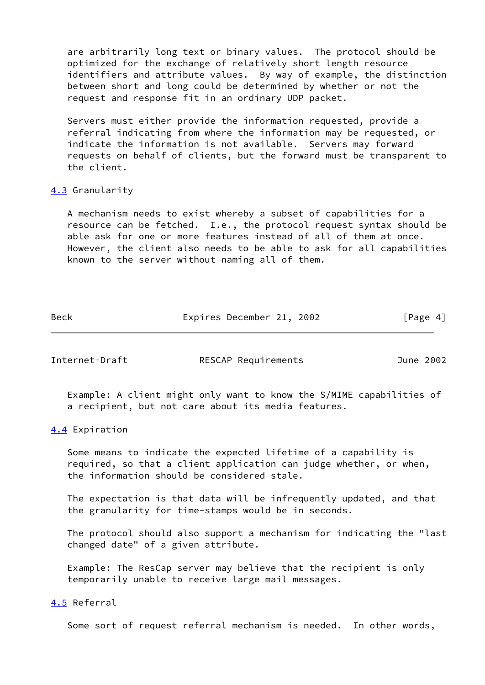are arbitrarily long text or binary values. The protocol should be optimized for the exchange of relatively short length resource identifiers and attribute values. By way of example, the distinction between short and long could be determined by whether or not the request and response fit in an ordinary UDP packet.

 Servers must either provide the information requested, provide a referral indicating from where the information may be requested, or indicate the information is not available. Servers may forward requests on behalf of clients, but the forward must be transparent to the client.

## <span id="page-4-0"></span>[4.3](#page-4-0) Granularity

 A mechanism needs to exist whereby a subset of capabilities for a resource can be fetched. I.e., the protocol request syntax should be able ask for one or more features instead of all of them at once. However, the client also needs to be able to ask for all capabilities known to the server without naming all of them.

Beck **Expires December 21, 2002** [Page 4]

<span id="page-4-2"></span>Internet-Draft RESCAP Requirements June 2002

 Example: A client might only want to know the S/MIME capabilities of a recipient, but not care about its media features.

#### <span id="page-4-1"></span>[4.4](#page-4-1) Expiration

 Some means to indicate the expected lifetime of a capability is required, so that a client application can judge whether, or when, the information should be considered stale.

 The expectation is that data will be infrequently updated, and that the granularity for time-stamps would be in seconds.

 The protocol should also support a mechanism for indicating the "last changed date" of a given attribute.

 Example: The ResCap server may believe that the recipient is only temporarily unable to receive large mail messages.

## <span id="page-4-3"></span>[4.5](#page-4-3) Referral

Some sort of request referral mechanism is needed. In other words,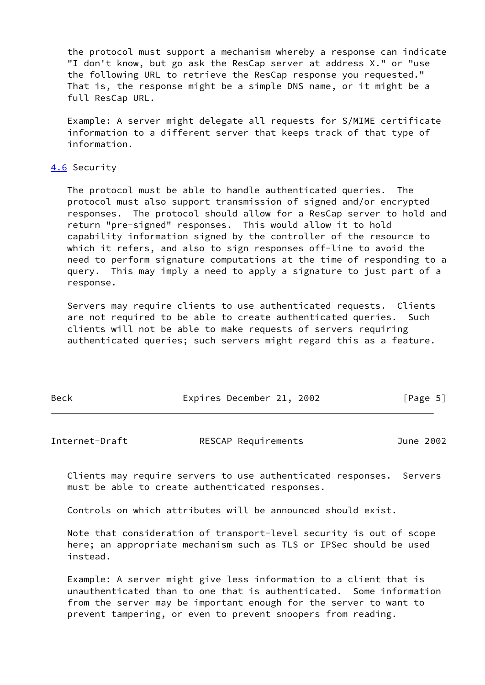the protocol must support a mechanism whereby a response can indicate "I don't know, but go ask the ResCap server at address X." or "use the following URL to retrieve the ResCap response you requested." That is, the response might be a simple DNS name, or it might be a full ResCap URL.

 Example: A server might delegate all requests for S/MIME certificate information to a different server that keeps track of that type of information.

## <span id="page-5-0"></span>[4.6](#page-5-0) Security

 The protocol must be able to handle authenticated queries. The protocol must also support transmission of signed and/or encrypted responses. The protocol should allow for a ResCap server to hold and return "pre-signed" responses. This would allow it to hold capability information signed by the controller of the resource to which it refers, and also to sign responses off-line to avoid the need to perform signature computations at the time of responding to a query. This may imply a need to apply a signature to just part of a response.

 Servers may require clients to use authenticated requests. Clients are not required to be able to create authenticated queries. Such clients will not be able to make requests of servers requiring authenticated queries; such servers might regard this as a feature.

| Beck | Expires December 21, 2002 | [Page 5] |
|------|---------------------------|----------|
|      |                           |          |

<span id="page-5-1"></span>

| RESCAP Requirements<br>Internet-Draft |  | June 2002 |
|---------------------------------------|--|-----------|
|---------------------------------------|--|-----------|

 Clients may require servers to use authenticated responses. Servers must be able to create authenticated responses.

Controls on which attributes will be announced should exist.

 Note that consideration of transport-level security is out of scope here; an appropriate mechanism such as TLS or IPSec should be used instead.

 Example: A server might give less information to a client that is unauthenticated than to one that is authenticated. Some information from the server may be important enough for the server to want to prevent tampering, or even to prevent snoopers from reading.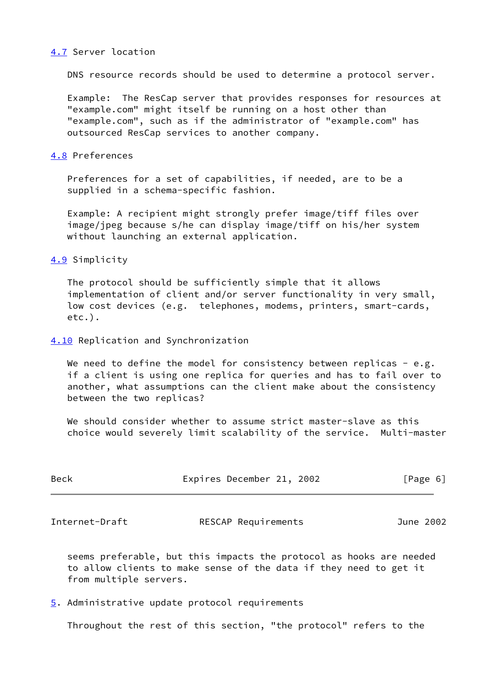#### <span id="page-6-0"></span>[4.7](#page-6-0) Server location

DNS resource records should be used to determine a protocol server.

 Example: The ResCap server that provides responses for resources at "example.com" might itself be running on a host other than "example.com", such as if the administrator of "example.com" has outsourced ResCap services to another company.

#### <span id="page-6-1"></span>[4.8](#page-6-1) Preferences

 Preferences for a set of capabilities, if needed, are to be a supplied in a schema-specific fashion.

 Example: A recipient might strongly prefer image/tiff files over image/jpeg because s/he can display image/tiff on his/her system without launching an external application.

#### <span id="page-6-2"></span>[4.9](#page-6-2) Simplicity

 The protocol should be sufficiently simple that it allows implementation of client and/or server functionality in very small, low cost devices (e.g. telephones, modems, printers, smart-cards, etc.).

## <span id="page-6-3"></span>[4.10](#page-6-3) Replication and Synchronization

We need to define the model for consistency between replicas - e.g. if a client is using one replica for queries and has to fail over to another, what assumptions can the client make about the consistency between the two replicas?

 We should consider whether to assume strict master-slave as this choice would severely limit scalability of the service. Multi-master

| <b>Beck</b> | Expires December 21, 2002 |  |  | [Page 6] |
|-------------|---------------------------|--|--|----------|
|-------------|---------------------------|--|--|----------|

<span id="page-6-5"></span>Internet-Draft RESCAP Requirements June 2002

 seems preferable, but this impacts the protocol as hooks are needed to allow clients to make sense of the data if they need to get it from multiple servers.

<span id="page-6-4"></span>[5](#page-6-4). Administrative update protocol requirements

Throughout the rest of this section, "the protocol" refers to the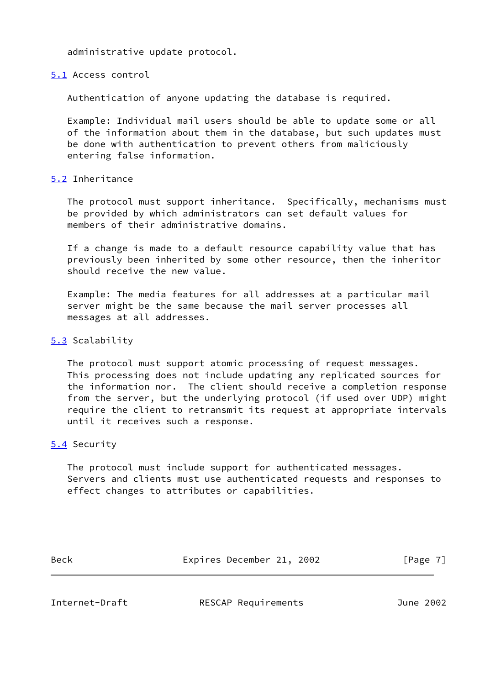administrative update protocol.

#### <span id="page-7-0"></span>[5.1](#page-7-0) Access control

Authentication of anyone updating the database is required.

 Example: Individual mail users should be able to update some or all of the information about them in the database, but such updates must be done with authentication to prevent others from maliciously entering false information.

## <span id="page-7-1"></span>[5.2](#page-7-1) Inheritance

 The protocol must support inheritance. Specifically, mechanisms must be provided by which administrators can set default values for members of their administrative domains.

 If a change is made to a default resource capability value that has previously been inherited by some other resource, then the inheritor should receive the new value.

 Example: The media features for all addresses at a particular mail server might be the same because the mail server processes all messages at all addresses.

## <span id="page-7-2"></span>[5.3](#page-7-2) Scalability

 The protocol must support atomic processing of request messages. This processing does not include updating any replicated sources for the information nor. The client should receive a completion response from the server, but the underlying protocol (if used over UDP) might require the client to retransmit its request at appropriate intervals until it receives such a response.

# <span id="page-7-3"></span>[5.4](#page-7-3) Security

 The protocol must include support for authenticated messages. Servers and clients must use authenticated requests and responses to effect changes to attributes or capabilities.

| <b>Beck</b><br>Expires December 21, 2002 | [Page 7] |
|------------------------------------------|----------|
|------------------------------------------|----------|

<span id="page-7-4"></span>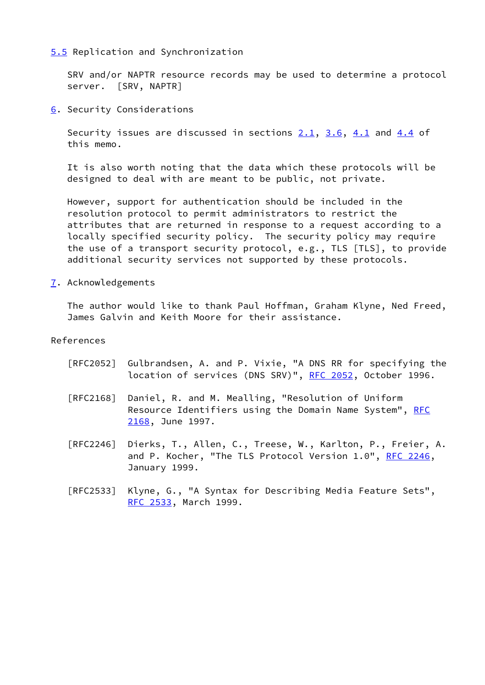## <span id="page-8-0"></span>[5.5](#page-8-0) Replication and Synchronization

 SRV and/or NAPTR resource records may be used to determine a protocol server. [SRV, NAPTR]

<span id="page-8-1"></span>[6](#page-8-1). Security Considerations

Security issues are discussed in sections 2.1, 3.6, [4.1](#page-3-2) and [4.4](#page-4-1) of this memo.

 It is also worth noting that the data which these protocols will be designed to deal with are meant to be public, not private.

 However, support for authentication should be included in the resolution protocol to permit administrators to restrict the attributes that are returned in response to a request according to a locally specified security policy. The security policy may require the use of a transport security protocol, e.g., TLS [TLS], to provide additional security services not supported by these protocols.

<span id="page-8-2"></span>[7](#page-8-2). Acknowledgements

 The author would like to thank Paul Hoffman, Graham Klyne, Ned Freed, James Galvin and Keith Moore for their assistance.

#### References

- [RFC2052] Gulbrandsen, A. and P. Vixie, "A DNS RR for specifying the location of services (DNS SRV)", [RFC 2052,](https://datatracker.ietf.org/doc/pdf/rfc2052) October 1996.
- [RFC2168] Daniel, R. and M. Mealling, "Resolution of Uniform Resource Identifiers using the Domain Name System", [RFC](https://datatracker.ietf.org/doc/pdf/rfc2168) [2168,](https://datatracker.ietf.org/doc/pdf/rfc2168) June 1997.
- [RFC2246] Dierks, T., Allen, C., Treese, W., Karlton, P., Freier, A. and P. Kocher, "The TLS Protocol Version 1.0", [RFC 2246](https://datatracker.ietf.org/doc/pdf/rfc2246), January 1999.
- [RFC2533] Klyne, G., "A Syntax for Describing Media Feature Sets", [RFC 2533,](https://datatracker.ietf.org/doc/pdf/rfc2533) March 1999.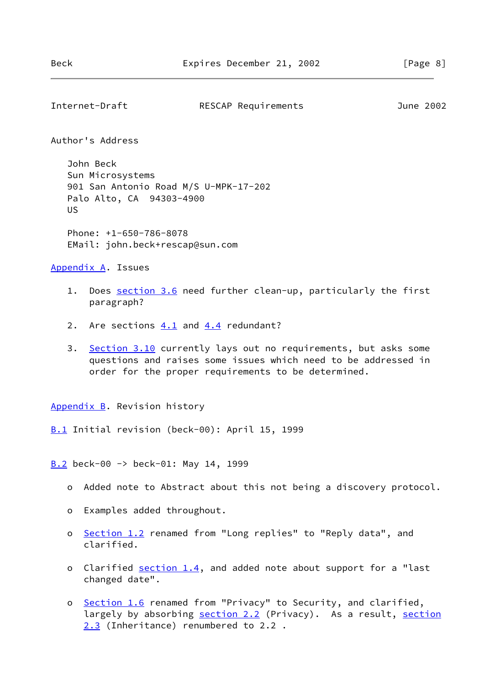```
Internet-Draft RESCAP Requirements June 2002
```
Author's Address

 John Beck Sun Microsystems 901 San Antonio Road M/S U-MPK-17-202 Palo Alto, CA 94303-4900 US

 Phone: +1-650-786-8078 EMail: john.beck+rescap@sun.com

<span id="page-9-1"></span>[Appendix A.](#page-9-1) Issues

- 1. Does section 3.6 need further clean-up, particularly the first paragraph?
- 2. Are sections  $4.1$  and  $4.4$  redundant?
- 3. Section 3.10 currently lays out no requirements, but asks some questions and raises some issues which need to be addressed in order for the proper requirements to be determined.

<span id="page-9-2"></span>[Appendix B.](#page-9-2) Revision history

<span id="page-9-3"></span>[B.1](#page-9-3) Initial revision (beck-00): April 15, 1999

<span id="page-9-4"></span>[B.2](#page-9-4) beck-00 -> beck-01: May 14, 1999

- o Added note to Abstract about this not being a discovery protocol.
- o Examples added throughout.
- o Section 1.2 renamed from "Long replies" to "Reply data", and clarified.
- o Clarified section 1.4, and added note about support for a "last changed date".
- o Section 1.6 renamed from "Privacy" to Security, and clarified, largely by absorbing section 2.2 (Privacy). As a result, section 2.3 (Inheritance) renumbered to 2.2 .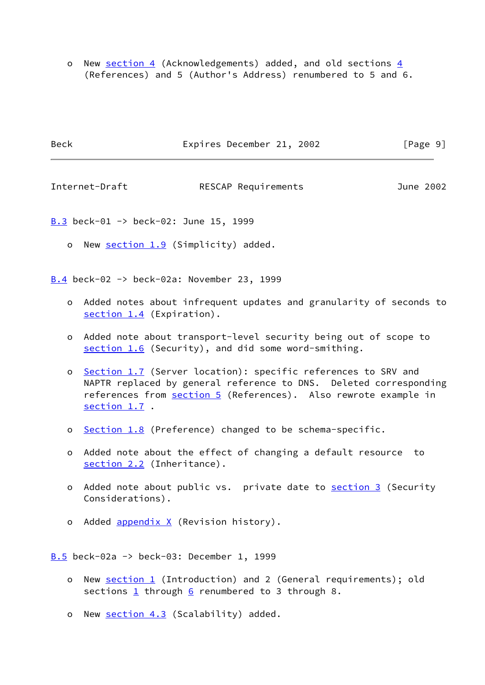o New [section 4](#page-3-0) (Acknowledgements) added, and old sections  $4$ (References) and 5 (Author's Address) renumbered to 5 and 6.

| <b>Beck</b> | Expires December 21, 2002 | [Page 9] |
|-------------|---------------------------|----------|
|             |                           |          |

<span id="page-10-1"></span>Internet-Draft RESCAP Requirements June 2002

<span id="page-10-0"></span>[B.3](#page-10-0) beck-01 -> beck-02: June 15, 1999

o New section 1.9 (Simplicity) added.

<span id="page-10-2"></span>[B.4](#page-10-2) beck-02 -> beck-02a: November 23, 1999

- o Added notes about infrequent updates and granularity of seconds to section 1.4 (Expiration).
- o Added note about transport-level security being out of scope to section 1.6 (Security), and did some word-smithing.
- o Section 1.7 (Server location): specific references to SRV and NAPTR replaced by general reference to DNS. Deleted corresponding references from [section 5](#page-6-4) (References). Also rewrote example in section 1.7 .
- o Section 1.8 (Preference) changed to be schema-specific.
- o Added note about the effect of changing a default resource to section 2.2 (Inheritance).
- o Added note about public vs. private date to [section 3](#page-2-3) (Security Considerations).
- o Added appendix X (Revision history).

<span id="page-10-3"></span> $\underline{B.5}$  $\underline{B.5}$  $\underline{B.5}$  beck-02a -> beck-03: December 1, 1999

- o New [section 1](#page-2-0) (Introduction) and 2 (General requirements); old sections  $1$  through  $6$  renumbered to 3 through 8.
- o New [section 4.3](#page-4-0) (Scalability) added.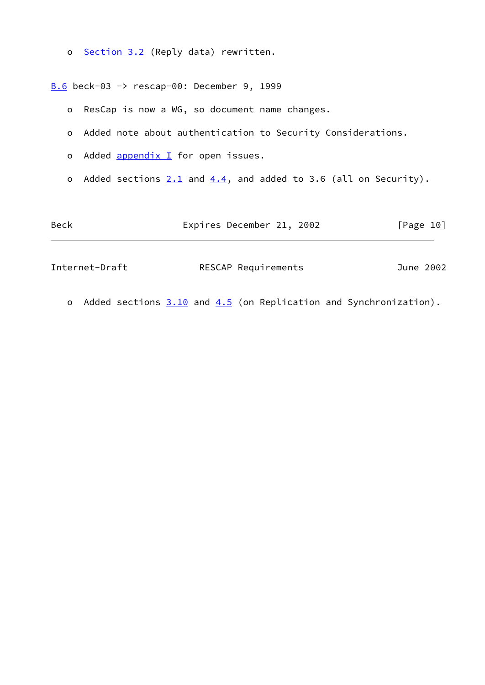o Section 3.2 (Reply data) rewritten.

<span id="page-11-0"></span>[B.6](#page-11-0) beck-03 -> rescap-00: December 9, 1999

- o ResCap is now a WG, so document name changes.
- o Added note about authentication to Security Considerations.
- o Added  $\frac{appendix}{l}$  for open issues.
- o Added sections  $2.1$  and  $4.4$ , and added to 3.6 (all on Security).

| Beck           | Expires December 21, 2002 | [Page 10] |
|----------------|---------------------------|-----------|
| Internet-Draft | RESCAP Requirements       | June 2002 |

o Added sections  $3.10$  and  $4.5$  (on Replication and Synchronization).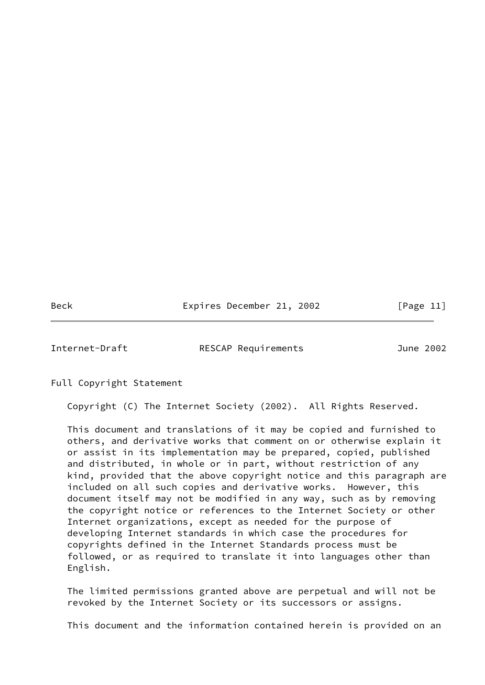Beck Expires December 21, 2002 [Page 11]

<span id="page-12-0"></span>

Internet-Draft RESCAP Requirements June 2002

Full Copyright Statement

Copyright (C) The Internet Society (2002). All Rights Reserved.

 This document and translations of it may be copied and furnished to others, and derivative works that comment on or otherwise explain it or assist in its implementation may be prepared, copied, published and distributed, in whole or in part, without restriction of any kind, provided that the above copyright notice and this paragraph are included on all such copies and derivative works. However, this document itself may not be modified in any way, such as by removing the copyright notice or references to the Internet Society or other Internet organizations, except as needed for the purpose of developing Internet standards in which case the procedures for copyrights defined in the Internet Standards process must be followed, or as required to translate it into languages other than English.

 The limited permissions granted above are perpetual and will not be revoked by the Internet Society or its successors or assigns.

This document and the information contained herein is provided on an